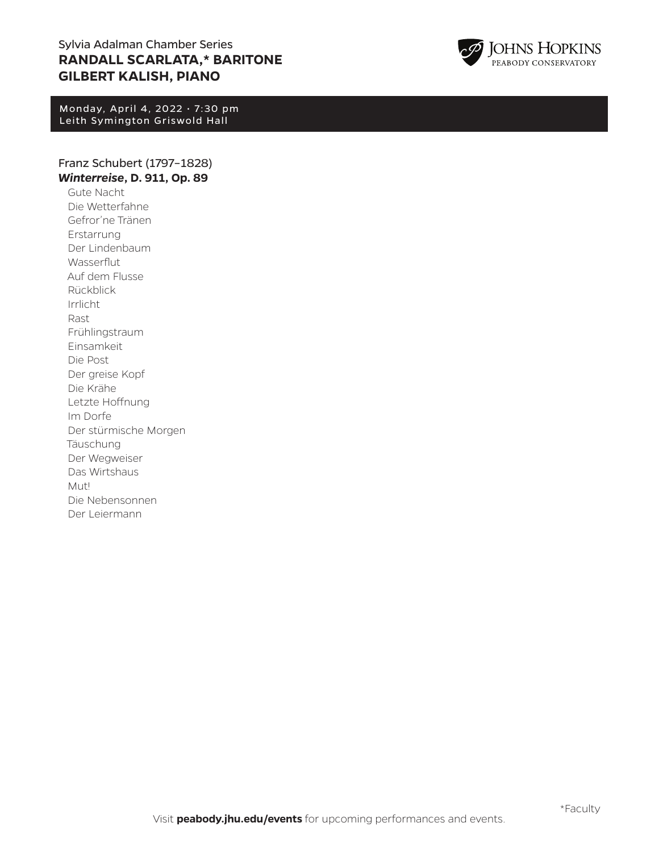# Sylvia Adalman Chamber Series **RANDALL SCARLATA,\* BARITONE GILBERT KALISH, PIANO**

Monday, April 4, 2022 • 7:30 pm Leith Symington Griswold Hall

# Franz Schubert (1797–1828) *Winterreise***, D. 911, Op. 89**

Gute Nacht Die Wetterfahne Gefror'ne Tränen Erstarrung Der Lindenbaum Wasserflut Auf dem Flusse Rückblick Irrlicht Rast Frühlingstraum Einsamkeit Die Post Der greise Kopf Die Krähe Letzte Hoffnung Im Dorfe Der stürmische Morgen Täuschung Der Wegweiser Das Wirtshaus Mut! Die Nebensonnen Der Leiermann

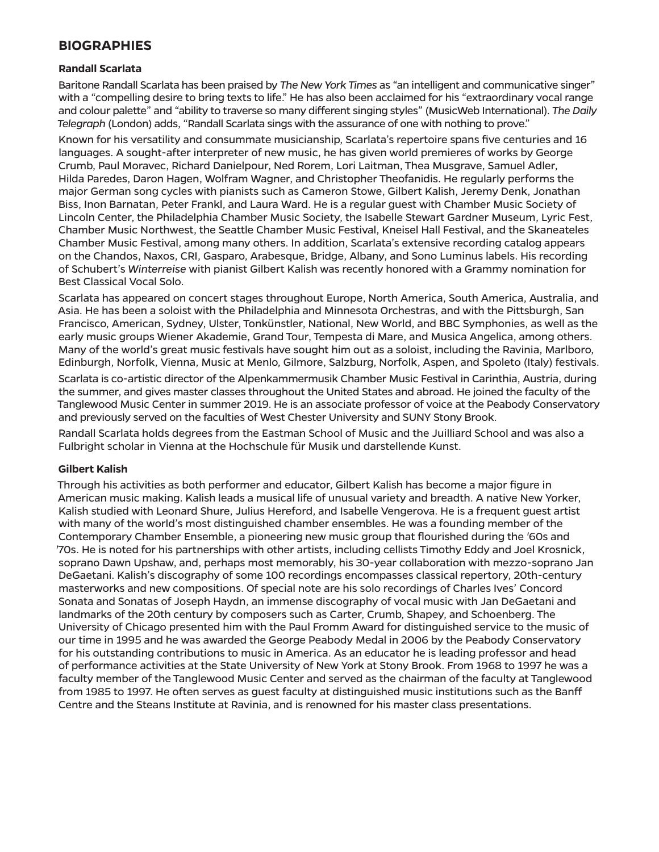# **BIOGRAPHIES**

## **Randall Scarlata**

Baritone Randall Scarlata has been praised by *The New York Times* as "an intelligent and communicative singer" with a "compelling desire to bring texts to life." He has also been acclaimed for his "extraordinary vocal range and colour palette" and "ability to traverse so many different singing styles" (MusicWeb International). *The Daily Telegraph* (London) adds, "Randall Scarlata sings with the assurance of one with nothing to prove."

Known for his versatility and consummate musicianship, Scarlata's repertoire spans five centuries and 16 languages. A sought-after interpreter of new music, he has given world premieres of works by George Crumb, Paul Moravec, Richard Danielpour, Ned Rorem, Lori Laitman, Thea Musgrave, Samuel Adler, Hilda Paredes, Daron Hagen, Wolfram Wagner, and Christopher Theofanidis. He regularly performs the major German song cycles with pianists such as Cameron Stowe, Gilbert Kalish, Jeremy Denk, Jonathan Biss, Inon Barnatan, Peter Frankl, and Laura Ward. He is a regular guest with Chamber Music Society of Lincoln Center, the Philadelphia Chamber Music Society, the Isabelle Stewart Gardner Museum, Lyric Fest, Chamber Music Northwest, the Seattle Chamber Music Festival, Kneisel Hall Festival, and the Skaneateles Chamber Music Festival, among many others. In addition, Scarlata's extensive recording catalog appears on the Chandos, Naxos, CRI, Gasparo, Arabesque, Bridge, Albany, and Sono Luminus labels. His recording of Schubert's *Winterreise* with pianist Gilbert Kalish was recently honored with a Grammy nomination for Best Classical Vocal Solo.

Scarlata has appeared on concert stages throughout Europe, North America, South America, Australia, and Asia. He has been a soloist with the Philadelphia and Minnesota Orchestras, and with the Pittsburgh, San Francisco, American, Sydney, Ulster, Tonkünstler, National, New World, and BBC Symphonies, as well as the early music groups Wiener Akademie, Grand Tour, Tempesta di Mare, and Musica Angelica, among others. Many of the world's great music festivals have sought him out as a soloist, including the Ravinia, Marlboro, Edinburgh, Norfolk, Vienna, Music at Menlo, Gilmore, Salzburg, Norfolk, Aspen, and Spoleto (Italy) festivals.

Scarlata is co-artistic director of the Alpenkammermusik Chamber Music Festival in Carinthia, Austria, during the summer, and gives master classes throughout the United States and abroad. He joined the faculty of the Tanglewood Music Center in summer 2019. He is an associate professor of voice at the Peabody Conservatory and previously served on the faculties of West Chester University and SUNY Stony Brook.

Randall Scarlata holds degrees from the Eastman School of Music and the Juilliard School and was also a Fulbright scholar in Vienna at the Hochschule für Musik und darstellende Kunst.

### **Gilbert Kalish**

Through his activities as both performer and educator, Gilbert Kalish has become a major figure in American music making. Kalish leads a musical life of unusual variety and breadth. A native New Yorker, Kalish studied with Leonard Shure, Julius Hereford, and Isabelle Vengerova. He is a frequent guest artist with many of the world's most distinguished chamber ensembles. He was a founding member of the Contemporary Chamber Ensemble, a pioneering new music group that flourished during the *'*60s and *'*70s. He is noted for his partnerships with other artists, including cellists Timothy Eddy and Joel Krosnick, soprano Dawn Upshaw, and, perhaps most memorably, his 30-year collaboration with mezzo-soprano Jan DeGaetani. Kalish's discography of some 100 recordings encompasses classical repertory, 20th-century masterworks and new compositions. Of special note are his solo recordings of Charles Ives' Concord Sonata and Sonatas of Joseph Haydn, an immense discography of vocal music with Jan DeGaetani and landmarks of the 20th century by composers such as Carter, Crumb, Shapey, and Schoenberg. The University of Chicago presented him with the Paul Fromm Award for distinguished service to the music of our time in 1995 and he was awarded the George Peabody Medal in 2006 by the Peabody Conservatory for his outstanding contributions to music in America. As an educator he is leading professor and head of performance activities at the State University of New York at Stony Brook. From 1968 to 1997 he was a faculty member of the Tanglewood Music Center and served as the chairman of the faculty at Tanglewood from 1985 to 1997. He often serves as guest faculty at distinguished music institutions such as the Banff Centre and the Steans Institute at Ravinia, and is renowned for his master class presentations.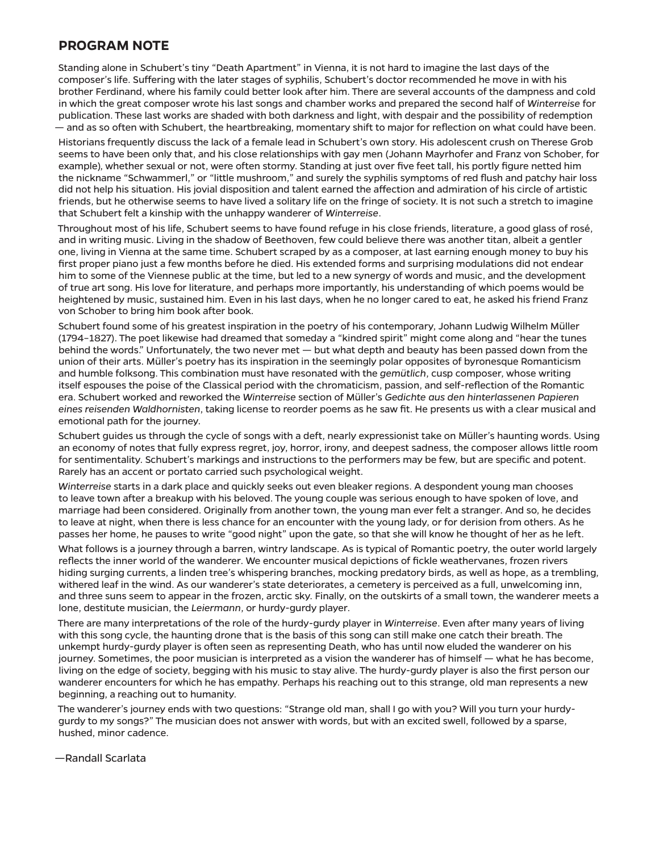# **PROGRAM NOTE**

Standing alone in Schubert's tiny "Death Apartment" in Vienna, it is not hard to imagine the last days of the composer's life. Suffering with the later stages of syphilis, Schubert's doctor recommended he move in with his brother Ferdinand, where his family could better look after him. There are several accounts of the dampness and cold in which the great composer wrote his last songs and chamber works and prepared the second half of *Winterreise* for publication. These last works are shaded with both darkness and light, with despair and the possibility of redemption — and as so often with Schubert, the heartbreaking, momentary shift to major for reflection on what could have been.

Historians frequently discuss the lack of a female lead in Schubert's own story. His adolescent crush on Therese Grob seems to have been only that, and his close relationships with gay men (Johann Mayrhofer and Franz von Schober, for example), whether sexual or not, were often stormy. Standing at just over five feet tall, his portly figure netted him the nickname "Schwammerl," or "little mushroom," and surely the syphilis symptoms of red flush and patchy hair loss did not help his situation. His jovial disposition and talent earned the affection and admiration of his circle of artistic friends, but he otherwise seems to have lived a solitary life on the fringe of society. It is not such a stretch to imagine that Schubert felt a kinship with the unhappy wanderer of *Winterreise*.

Throughout most of his life, Schubert seems to have found refuge in his close friends, literature, a good glass of rosé, and in writing music. Living in the shadow of Beethoven, few could believe there was another titan, albeit a gentler one, living in Vienna at the same time. Schubert scraped by as a composer, at last earning enough money to buy his first proper piano just a few months before he died. His extended forms and surprising modulations did not endear him to some of the Viennese public at the time, but led to a new synergy of words and music, and the development of true art song. His love for literature, and perhaps more importantly, his understanding of which poems would be heightened by music, sustained him. Even in his last days, when he no longer cared to eat, he asked his friend Franz von Schober to bring him book after book.

Schubert found some of his greatest inspiration in the poetry of his contemporary, Johann Ludwig Wilhelm Müller (1794–1827). The poet likewise had dreamed that someday a "kindred spirit" might come along and "hear the tunes behind the words." Unfortunately, the two never met — but what depth and beauty has been passed down from the union of their arts. Müller's poetry has its inspiration in the seemingly polar opposites of byronesque Romanticism and humble folksong. This combination must have resonated with the *gemütlich*, cusp composer, whose writing itself espouses the poise of the Classical period with the chromaticism, passion, and self-reflection of the Romantic era. Schubert worked and reworked the *Winterreise* section of Müller's *Gedichte aus den hinterlassenen Papieren eines reisenden Waldhornisten*, taking license to reorder poems as he saw fit. He presents us with a clear musical and emotional path for the journey.

Schubert guides us through the cycle of songs with a deft, nearly expressionist take on Müller's haunting words. Using an economy of notes that fully express regret, joy, horror, irony, and deepest sadness, the composer allows little room for sentimentality. Schubert's markings and instructions to the performers may be few, but are specific and potent. Rarely has an accent or portato carried such psychological weight.

*Winterreise* starts in a dark place and quickly seeks out even bleaker regions. A despondent young man chooses to leave town after a breakup with his beloved. The young couple was serious enough to have spoken of love, and marriage had been considered. Originally from another town, the young man ever felt a stranger. And so, he decides to leave at night, when there is less chance for an encounter with the young lady, or for derision from others. As he passes her home, he pauses to write "good night" upon the gate, so that she will know he thought of her as he left.

What follows is a journey through a barren, wintry landscape. As is typical of Romantic poetry, the outer world largely reflects the inner world of the wanderer. We encounter musical depictions of fickle weathervanes, frozen rivers hiding surging currents, a linden tree's whispering branches, mocking predatory birds, as well as hope, as a trembling, withered leaf in the wind. As our wanderer's state deteriorates, a cemetery is perceived as a full, unwelcoming inn, and three suns seem to appear in the frozen, arctic sky. Finally, on the outskirts of a small town, the wanderer meets a lone, destitute musician, the *Leiermann*, or hurdy-gurdy player.

There are many interpretations of the role of the hurdy-gurdy player in *Winterreise*. Even after many years of living with this song cycle, the haunting drone that is the basis of this song can still make one catch their breath. The unkempt hurdy-gurdy player is often seen as representing Death, who has until now eluded the wanderer on his journey. Sometimes, the poor musician is interpreted as a vision the wanderer has of himself — what he has become, living on the edge of society, begging with his music to stay alive. The hurdy-gurdy player is also the first person our wanderer encounters for which he has empathy. Perhaps his reaching out to this strange, old man represents a new beginning, a reaching out to humanity.

The wanderer's journey ends with two questions: "Strange old man, shall I go with you? Will you turn your hurdygurdy to my songs?" The musician does not answer with words, but with an excited swell, followed by a sparse, hushed, minor cadence.

—Randall Scarlata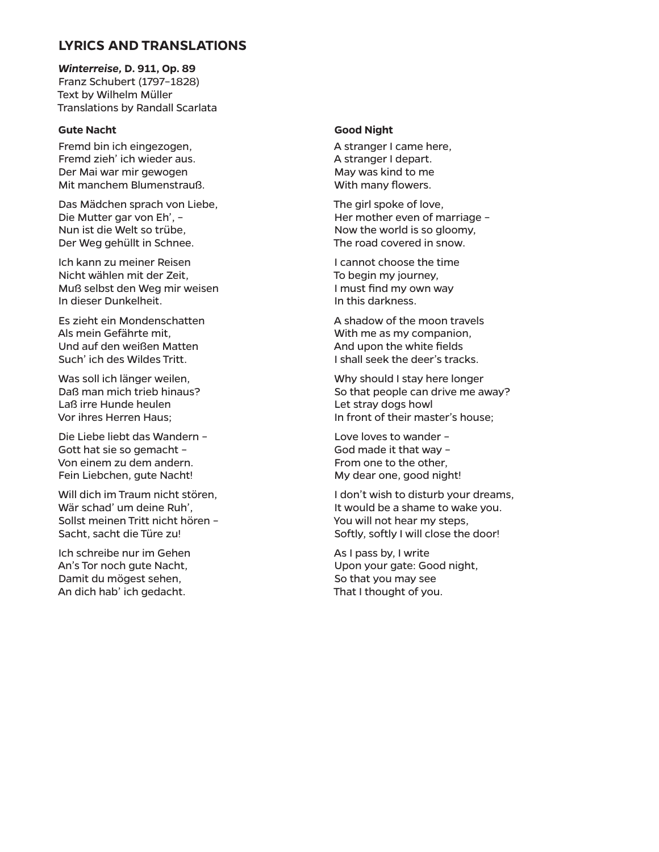# **LYRICS AND TRANSLATIONS**

*Winterreise,* **D. 911, Op. 89** Franz Schubert (1797–1828) Text by Wilhelm Müller Translations by Randall Scarlata

### **Gute Nacht**

Fremd bin ich eingezogen, Fremd zieh' ich wieder aus. Der Mai war mir gewogen Mit manchem Blumenstrauß.

Das Mädchen sprach von Liebe, Die Mutter gar von Eh', – Nun ist die Welt so trübe, Der Weg gehüllt in Schnee.

Ich kann zu meiner Reisen Nicht wählen mit der Zeit, Muß selbst den Weg mir weisen In dieser Dunkelheit.

Es zieht ein Mondenschatten Als mein Gefährte mit, Und auf den weißen Matten Such' ich des Wildes Tritt.

Was soll ich länger weilen, Daß man mich trieb hinaus? Laß irre Hunde heulen Vor ihres Herren Haus;

Die Liebe liebt das Wandern – Gott hat sie so gemacht – Von einem zu dem andern. Fein Liebchen, gute Nacht!

Will dich im Traum nicht stören, Wär schad' um deine Ruh', Sollst meinen Tritt nicht hören – Sacht, sacht die Türe zu!

Ich schreibe nur im Gehen An's Tor noch gute Nacht, Damit du mögest sehen, An dich hab' ich gedacht.

#### **Good Night**

A stranger I came here, A stranger I depart. May was kind to me With many flowers.

The girl spoke of love, Her mother even of marriage – Now the world is so gloomy, The road covered in snow.

I cannot choose the time To begin my journey, I must find my own way In this darkness.

A shadow of the moon travels With me as my companion, And upon the white fields I shall seek the deer's tracks.

Why should I stay here longer So that people can drive me away? Let stray dogs howl In front of their master's house;

Love loves to wander – God made it that way – From one to the other, My dear one, good night!

I don't wish to disturb your dreams, It would be a shame to wake you. You will not hear my steps, Softly, softly I will close the door!

As I pass by, I write Upon your gate: Good night, So that you may see That I thought of you.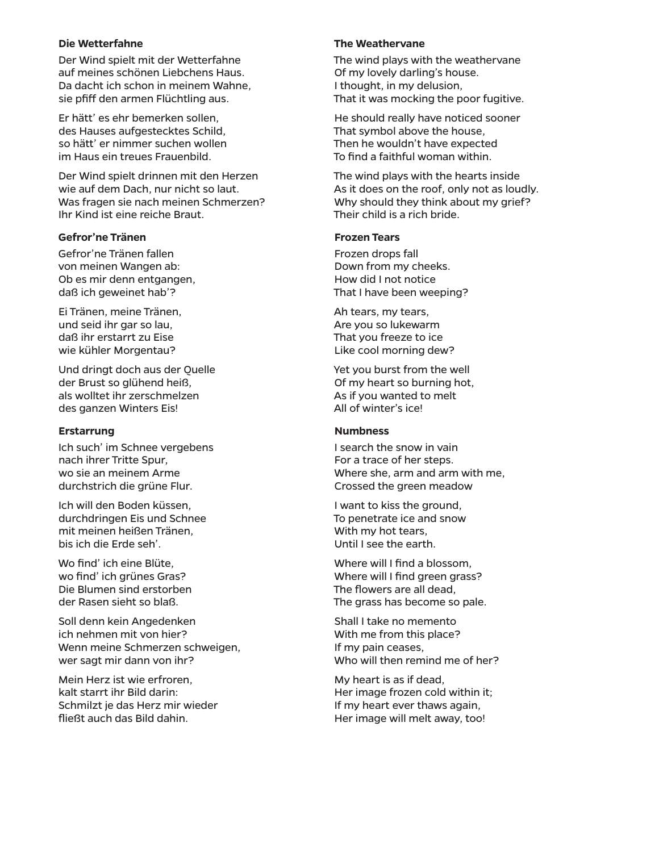### **Die Wetterfahne**

Der Wind spielt mit der Wetterfahne auf meines schönen Liebchens Haus. Da dacht ich schon in meinem Wahne, sie pfiff den armen Flüchtling aus.

Er hätt' es ehr bemerken sollen, des Hauses aufgestecktes Schild, so hätt' er nimmer suchen wollen im Haus ein treues Frauenbild.

Der Wind spielt drinnen mit den Herzen wie auf dem Dach, nur nicht so laut. Was fragen sie nach meinen Schmerzen? Ihr Kind ist eine reiche Braut.

### **Gefror'ne Tränen**

Gefror'ne Tränen fallen von meinen Wangen ab: Ob es mir denn entgangen, daß ich geweinet hab'?

Ei Tränen, meine Tränen, und seid ihr gar so lau, daß ihr erstarrt zu Eise wie kühler Morgentau?

Und dringt doch aus der Quelle der Brust so glühend heiß, als wolltet ihr zerschmelzen des ganzen Winters Eis!

#### **Erstarrung**

Ich such' im Schnee vergebens nach ihrer Tritte Spur, wo sie an meinem Arme durchstrich die grüne Flur.

Ich will den Boden küssen, durchdringen Eis und Schnee mit meinen heißen Tränen, bis ich die Erde seh'.

Wo find' ich eine Blüte, wo find' ich grünes Gras? Die Blumen sind erstorben der Rasen sieht so blaß.

Soll denn kein Angedenken ich nehmen mit von hier? Wenn meine Schmerzen schweigen, wer sagt mir dann von ihr?

Mein Herz ist wie erfroren, kalt starrt ihr Bild darin: Schmilzt je das Herz mir wieder fließt auch das Bild dahin.

#### **The Weathervane**

The wind plays with the weathervane Of my lovely darling's house. I thought, in my delusion, That it was mocking the poor fugitive.

He should really have noticed sooner That symbol above the house, Then he wouldn't have expected To find a faithful woman within.

The wind plays with the hearts inside As it does on the roof, only not as loudly. Why should they think about my grief? Their child is a rich bride.

#### **Frozen Tears**

Frozen drops fall Down from my cheeks. How did I not notice That I have been weeping?

Ah tears, my tears, Are you so lukewarm That you freeze to ice Like cool morning dew?

Yet you burst from the well Of my heart so burning hot, As if you wanted to melt All of winter's ice!

#### **Numbness**

I search the snow in vain For a trace of her steps. Where she, arm and arm with me, Crossed the green meadow

I want to kiss the ground, To penetrate ice and snow With my hot tears, Until I see the earth.

Where will I find a blossom. Where will I find green grass? The flowers are all dead, The grass has become so pale.

Shall I take no memento With me from this place? If my pain ceases, Who will then remind me of her?

My heart is as if dead, Her image frozen cold within it; If my heart ever thaws again, Her image will melt away, too!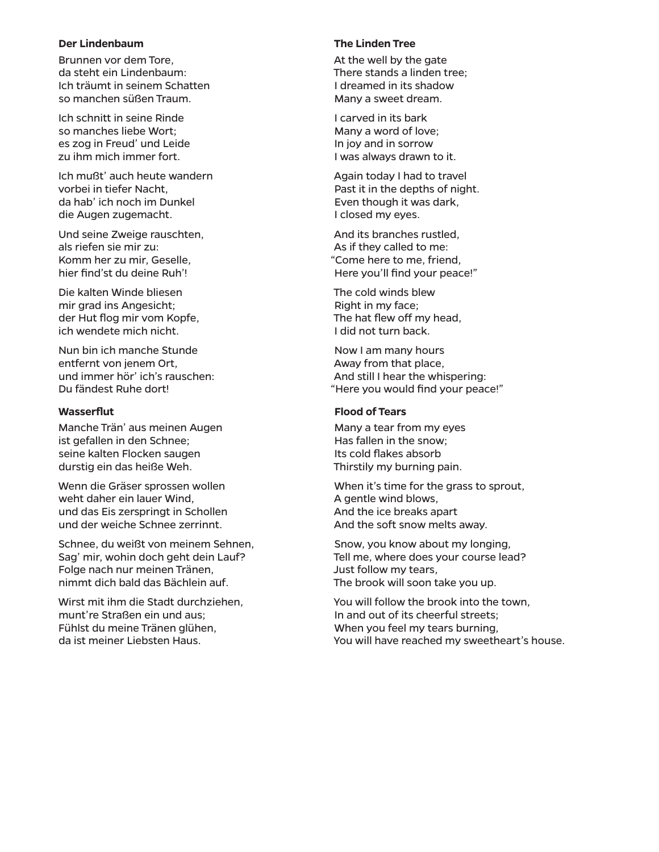#### **Der Lindenbaum**

Brunnen vor dem Tore, da steht ein Lindenbaum: Ich träumt in seinem Schatten so manchen süßen Traum.

Ich schnitt in seine Rinde so manches liebe Wort; es zog in Freud' und Leide zu ihm mich immer fort.

Ich mußt' auch heute wandern vorbei in tiefer Nacht, da hab' ich noch im Dunkel die Augen zugemacht.

Und seine Zweige rauschten, als riefen sie mir zu: Komm her zu mir, Geselle, hier find'st du deine Ruh'!

Die kalten Winde bliesen mir grad ins Angesicht; der Hut flog mir vom Kopfe, ich wendete mich nicht.

Nun bin ich manche Stunde entfernt von jenem Ort, und immer hör' ich's rauschen: Du fändest Ruhe dort!

#### **Wasserflut**

Manche Trän' aus meinen Augen ist gefallen in den Schnee; seine kalten Flocken saugen durstig ein das heiße Weh.

Wenn die Gräser sprossen wollen weht daher ein lauer Wind, und das Eis zerspringt in Schollen und der weiche Schnee zerrinnt.

Schnee, du weißt von meinem Sehnen, Sag' mir, wohin doch geht dein Lauf? Folge nach nur meinen Tränen, nimmt dich bald das Bächlein auf.

Wirst mit ihm die Stadt durchziehen, munt're Straßen ein und aus; Fühlst du meine Tränen glühen, da ist meiner Liebsten Haus.

# **The Linden Tree**

At the well by the gate There stands a linden tree; I dreamed in its shadow Many a sweet dream.

I carved in its bark Many a word of love; In joy and in sorrow I was always drawn to it.

Again today I had to travel Past it in the depths of night. Even though it was dark, I closed my eyes.

And its branches rustled, As if they called to me: "Come here to me, friend, Here you'll find your peace!"

The cold winds blew Right in my face; The hat flew off my head, I did not turn back.

Now I am many hours Away from that place, And still I hear the whispering: "Here you would find your peace!"

#### **Flood of Tears**

Many a tear from my eyes Has fallen in the snow; Its cold flakes absorb Thirstily my burning pain.

When it's time for the grass to sprout, A gentle wind blows, And the ice breaks apart And the soft snow melts away.

Snow, you know about my longing, Tell me, where does your course lead? Just follow my tears, The brook will soon take you up.

You will follow the brook into the town, In and out of its cheerful streets; When you feel my tears burning, You will have reached my sweetheart's house.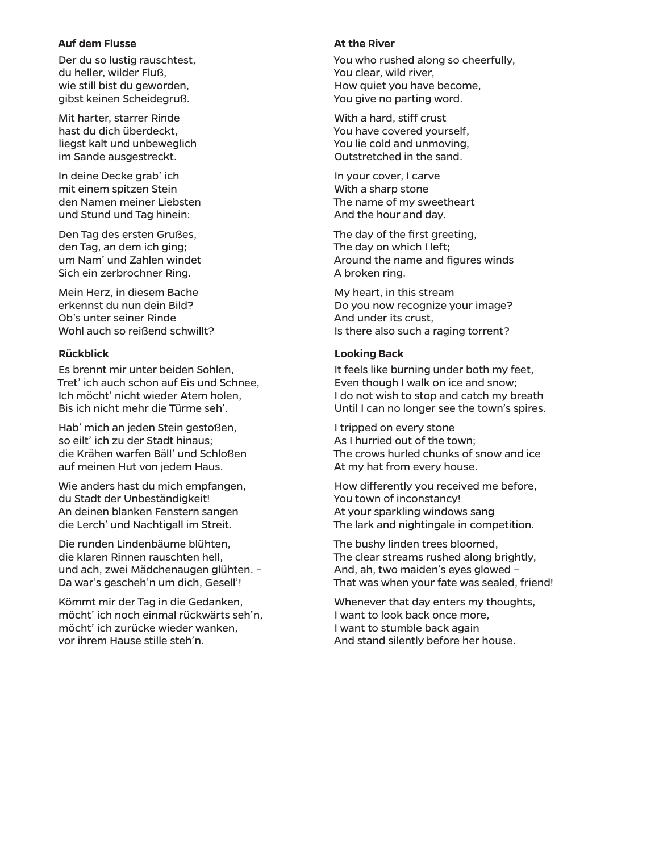### **Auf dem Flusse**

Der du so lustig rauschtest, du heller, wilder Fluß, wie still bist du geworden, gibst keinen Scheidegruß.

Mit harter, starrer Rinde hast du dich überdeckt, liegst kalt und unbeweglich im Sande ausgestreckt.

In deine Decke grab' ich mit einem spitzen Stein den Namen meiner Liebsten und Stund und Tag hinein:

Den Tag des ersten Grußes, den Tag, an dem ich ging; um Nam' und Zahlen windet Sich ein zerbrochner Ring.

Mein Herz, in diesem Bache erkennst du nun dein Bild? Ob's unter seiner Rinde Wohl auch so reißend schwillt?

## **Rückblick**

Es brennt mir unter beiden Sohlen, Tret' ich auch schon auf Eis und Schnee, Ich möcht' nicht wieder Atem holen, Bis ich nicht mehr die Türme seh'.

Hab' mich an jeden Stein gestoßen, so eilt' ich zu der Stadt hinaus; die Krähen warfen Bäll' und Schloßen auf meinen Hut von jedem Haus.

Wie anders hast du mich empfangen, du Stadt der Unbeständigkeit! An deinen blanken Fenstern sangen die Lerch' und Nachtigall im Streit.

Die runden Lindenbäume blühten, die klaren Rinnen rauschten hell, und ach, zwei Mädchenaugen glühten. – Da war's gescheh'n um dich, Gesell'!

Kömmt mir der Tag in die Gedanken, möcht' ich noch einmal rückwärts seh'n, möcht' ich zurücke wieder wanken, vor ihrem Hause stille steh'n.

#### **At the River**

You who rushed along so cheerfully, You clear, wild river, How quiet you have become, You give no parting word.

With a hard, stiff crust You have covered yourself, You lie cold and unmoving, Outstretched in the sand.

In your cover, I carve With a sharp stone The name of my sweetheart And the hour and day.

The day of the first greeting, The day on which I left; Around the name and figures winds A broken ring.

My heart, in this stream Do you now recognize your image? And under its crust, Is there also such a raging torrent?

## **Looking Back**

It feels like burning under both my feet, Even though I walk on ice and snow; I do not wish to stop and catch my breath Until I can no longer see the town's spires.

I tripped on every stone As I hurried out of the town; The crows hurled chunks of snow and ice At my hat from every house.

How differently you received me before, You town of inconstancy! At your sparkling windows sang The lark and nightingale in competition.

The bushy linden trees bloomed, The clear streams rushed along brightly, And, ah, two maiden's eyes glowed – That was when your fate was sealed, friend!

Whenever that day enters my thoughts, I want to look back once more, I want to stumble back again And stand silently before her house.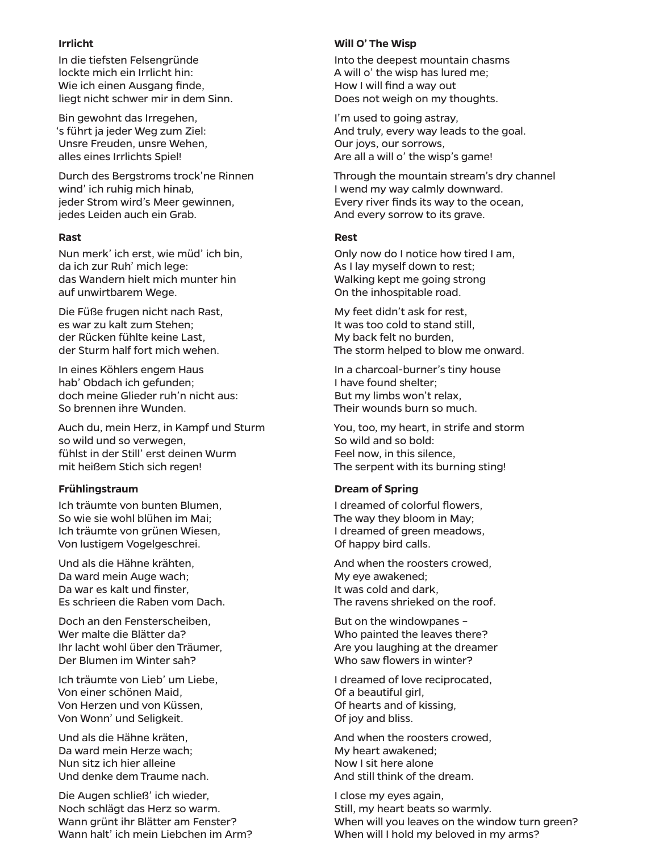### **Irrlicht**

In die tiefsten Felsengründe lockte mich ein Irrlicht hin: Wie ich einen Ausgang finde, liegt nicht schwer mir in dem Sinn.

Bin gewohnt das Irregehen, 's führt ja jeder Weg zum Ziel: Unsre Freuden, unsre Wehen, alles eines Irrlichts Spiel!

Durch des Bergstroms trock'ne Rinnen wind' ich ruhig mich hinab, jeder Strom wird's Meer gewinnen, jedes Leiden auch ein Grab.

## **Rast**

Nun merk' ich erst, wie müd' ich bin, da ich zur Ruh' mich lege: das Wandern hielt mich munter hin auf unwirtbarem Wege.

Die Füße frugen nicht nach Rast, es war zu kalt zum Stehen; der Rücken fühlte keine Last, der Sturm half fort mich wehen.

In eines Köhlers engem Haus hab' Obdach ich gefunden; doch meine Glieder ruh'n nicht aus: So brennen ihre Wunden.

Auch du, mein Herz, in Kampf und Sturm so wild und so verwegen, fühlst in der Still' erst deinen Wurm mit heißem Stich sich regen!

# **Frühlingstraum**

Ich träumte von bunten Blumen, So wie sie wohl blühen im Mai; Ich träumte von grünen Wiesen, Von lustigem Vogelgeschrei.

Und als die Hähne krähten, Da ward mein Auge wach; Da war es kalt und finster, Es schrieen die Raben vom Dach.

Doch an den Fensterscheiben, Wer malte die Blätter da? Ihr lacht wohl über den Träumer, Der Blumen im Winter sah?

Ich träumte von Lieb' um Liebe, Von einer schönen Maid, Von Herzen und von Küssen, Von Wonn' und Seligkeit.

Und als die Hähne kräten, Da ward mein Herze wach; Nun sitz ich hier alleine Und denke dem Traume nach.

Die Augen schließ' ich wieder, Noch schlägt das Herz so warm. Wann grünt ihr Blätter am Fenster? Wann halt' ich mein Liebchen im Arm?

## **Will O' The Wisp**

Into the deepest mountain chasms A will o' the wisp has lured me; How I will find a way out Does not weigh on my thoughts.

I'm used to going astray, And truly, every way leads to the goal. Our joys, our sorrows, Are all a will o' the wisp's game!

Through the mountain stream's dry channel I wend my way calmly downward. Every river finds its way to the ocean, And every sorrow to its grave.

## **Rest**

Only now do I notice how tired I am, As I lay myself down to rest; Walking kept me going strong On the inhospitable road.

My feet didn't ask for rest, It was too cold to stand still, My back felt no burden, The storm helped to blow me onward.

In a charcoal-burner's tiny house I have found shelter; But my limbs won't relax, Their wounds burn so much.

You, too, my heart, in strife and storm So wild and so bold: Feel now, in this silence, The serpent with its burning sting!

# **Dream of Spring**

I dreamed of colorful flowers, The way they bloom in May; I dreamed of green meadows, Of happy bird calls.

And when the roosters crowed, My eye awakened; It was cold and dark, The ravens shrieked on the roof.

But on the windowpanes – Who painted the leaves there? Are you laughing at the dreamer Who saw flowers in winter?

I dreamed of love reciprocated, Of a beautiful girl, Of hearts and of kissing, Of joy and bliss.

And when the roosters crowed, My heart awakened; Now I sit here alone And still think of the dream.

I close my eyes again, Still, my heart beats so warmly. When will you leaves on the window turn green? When will I hold my beloved in my arms?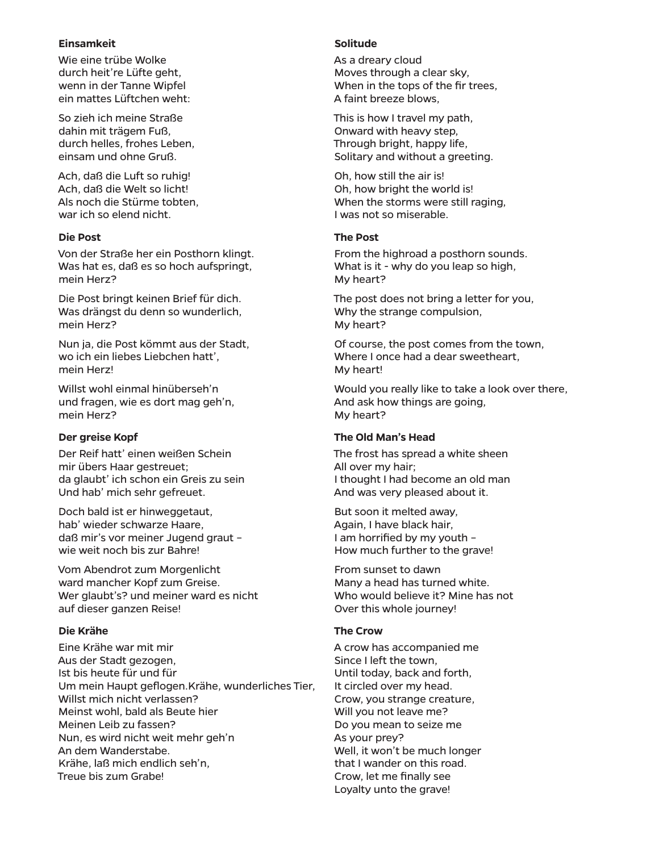### **Einsamkeit**

Wie eine trübe Wolke durch heit're Lüfte geht, wenn in der Tanne Wipfel ein mattes Lüftchen weht:

So zieh ich meine Straße dahin mit trägem Fuß, durch helles, frohes Leben, einsam und ohne Gruß.

Ach, daß die Luft so ruhig! Ach, daß die Welt so licht! Als noch die Stürme tobten, war ich so elend nicht.

# **Die Post**

Von der Straße her ein Posthorn klingt. Was hat es, daß es so hoch aufspringt, mein Herz?

Die Post bringt keinen Brief für dich. Was drängst du denn so wunderlich, mein Herz?

Nun ja, die Post kömmt aus der Stadt, wo ich ein liebes Liebchen hatt', mein Herz!

Willst wohl einmal hinüberseh'n und fragen, wie es dort mag geh'n, mein Herz?

# **Der greise Kopf**

Der Reif hatt' einen weißen Schein mir übers Haar gestreuet; da glaubt' ich schon ein Greis zu sein Und hab' mich sehr gefreuet.

Doch bald ist er hinweggetaut, hab' wieder schwarze Haare, daß mir's vor meiner Jugend graut – wie weit noch bis zur Bahre!

Vom Abendrot zum Morgenlicht ward mancher Kopf zum Greise. Wer glaubt's? und meiner ward es nicht auf dieser ganzen Reise!

# **Die Krähe**

Eine Krähe war mit mir Aus der Stadt gezogen, Ist bis heute für und für Um mein Haupt geflogen.Krähe, wunderliches Tier, Willst mich nicht verlassen? Meinst wohl, bald als Beute hier Meinen Leib zu fassen? Nun, es wird nicht weit mehr geh'n An dem Wanderstabe. Krähe, laß mich endlich seh'n, Treue bis zum Grabe!

### **Solitude**

As a dreary cloud Moves through a clear sky, When in the tops of the fir trees, A faint breeze blows,

This is how I travel my path, Onward with heavy step, Through bright, happy life, Solitary and without a greeting.

Oh, how still the air is! Oh, how bright the world is! When the storms were still raging, I was not so miserable.

## **The Post**

From the highroad a posthorn sounds. What is it - why do you leap so high, My heart?

The post does not bring a letter for you, Why the strange compulsion, My heart?

Of course, the post comes from the town, Where I once had a dear sweetheart. My heart!

Would you really like to take a look over there, And ask how things are going, My heart?

### **The Old Man's Head**

The frost has spread a white sheen All over my hair; I thought I had become an old man And was very pleased about it.

But soon it melted away, Again, I have black hair, I am horrified by my youth – How much further to the grave!

From sunset to dawn Many a head has turned white. Who would believe it? Mine has not Over this whole journey!

### **The Crow**

A crow has accompanied me Since I left the town, Until today, back and forth, It circled over my head. Crow, you strange creature, Will you not leave me? Do you mean to seize me As your prey? Well, it won't be much longer that I wander on this road. Crow, let me finally see Loyalty unto the grave!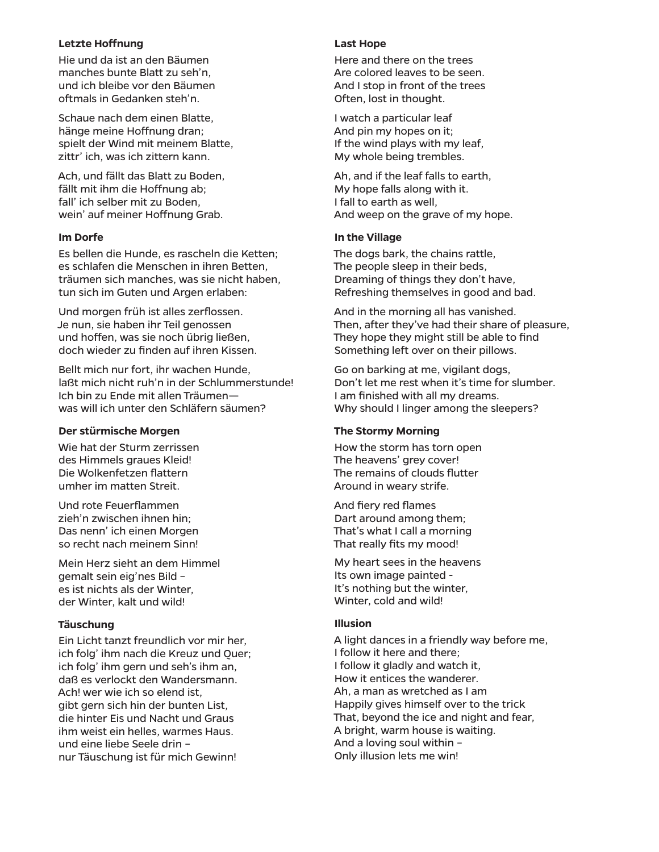### **Letzte Hoffnung**

Hie und da ist an den Bäumen manches bunte Blatt zu seh'n, und ich bleibe vor den Bäumen oftmals in Gedanken steh'n.

Schaue nach dem einen Blatte, hänge meine Hoffnung dran; spielt der Wind mit meinem Blatte, zittr' ich, was ich zittern kann.

Ach, und fällt das Blatt zu Boden, fällt mit ihm die Hoffnung ab; fall' ich selber mit zu Boden, wein' auf meiner Hoffnung Grab.

## **Im Dorfe**

Es bellen die Hunde, es rascheln die Ketten; es schlafen die Menschen in ihren Betten, träumen sich manches, was sie nicht haben, tun sich im Guten und Argen erlaben:

Und morgen früh ist alles zerflossen. Je nun, sie haben ihr Teil genossen und hoffen, was sie noch übrig ließen, doch wieder zu finden auf ihren Kissen.

Bellt mich nur fort, ihr wachen Hunde, laßt mich nicht ruh'n in der Schlummerstunde! Ich bin zu Ende mit allen Träumen was will ich unter den Schläfern säumen?

# **Der stürmische Morgen**

Wie hat der Sturm zerrissen des Himmels graues Kleid! Die Wolkenfetzen flattern umher im matten Streit.

Und rote Feuerflammen zieh'n zwischen ihnen hin; Das nenn' ich einen Morgen so recht nach meinem Sinn!

Mein Herz sieht an dem Himmel gemalt sein eig'nes Bild – es ist nichts als der Winter, der Winter, kalt und wild!

# **Täuschung**

Ein Licht tanzt freundlich vor mir her, ich folg' ihm nach die Kreuz und Quer; ich folg' ihm gern und seh's ihm an, daß es verlockt den Wandersmann. Ach! wer wie ich so elend ist, gibt gern sich hin der bunten List, die hinter Eis und Nacht und Graus ihm weist ein helles, warmes Haus. und eine liebe Seele drin – nur Täuschung ist für mich Gewinn!

#### **Last Hope**

Here and there on the trees Are colored leaves to be seen. And I stop in front of the trees Often, lost in thought.

I watch a particular leaf And pin my hopes on it; If the wind plays with my leaf, My whole being trembles.

Ah, and if the leaf falls to earth, My hope falls along with it. I fall to earth as well, And weep on the grave of my hope.

## **In the Village**

The dogs bark, the chains rattle, The people sleep in their beds, Dreaming of things they don't have, Refreshing themselves in good and bad.

And in the morning all has vanished. Then, after they've had their share of pleasure, They hope they might still be able to find Something left over on their pillows.

Go on barking at me, vigilant dogs, Don't let me rest when it's time for slumber. I am finished with all my dreams. Why should I linger among the sleepers?

### **The Stormy Morning**

How the storm has torn open The heavens' grey cover! The remains of clouds flutter Around in weary strife.

And fiery red flames Dart around among them; That's what I call a morning That really fits my mood!

My heart sees in the heavens Its own image painted - It's nothing but the winter, Winter, cold and wild!

# **Illusion**

A light dances in a friendly way before me, I follow it here and there; I follow it gladly and watch it, How it entices the wanderer. Ah, a man as wretched as I am Happily gives himself over to the trick That, beyond the ice and night and fear, A bright, warm house is waiting. And a loving soul within – Only illusion lets me win!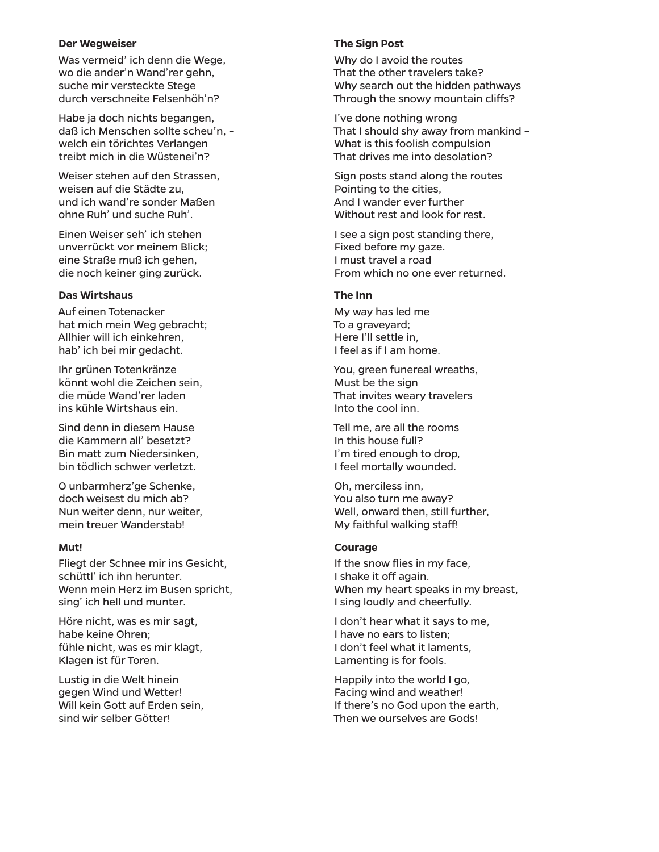### **Der Wegweiser**

Was vermeid' ich denn die Wege, wo die ander'n Wand'rer gehn, suche mir versteckte Stege durch verschneite Felsenhöh'n?

Habe ja doch nichts begangen, daß ich Menschen sollte scheu'n, – welch ein törichtes Verlangen treibt mich in die Wüstenei'n?

Weiser stehen auf den Strassen, weisen auf die Städte zu, und ich wand're sonder Maßen ohne Ruh' und suche Ruh'.

Einen Weiser seh' ich stehen unverrückt vor meinem Blick; eine Straße muß ich gehen, die noch keiner ging zurück.

#### **Das Wirtshaus**

Auf einen Totenacker hat mich mein Weg gebracht; Allhier will ich einkehren, hab' ich bei mir gedacht.

Ihr grünen Totenkränze könnt wohl die Zeichen sein, die müde Wand'rer laden ins kühle Wirtshaus ein.

Sind denn in diesem Hause die Kammern all' besetzt? Bin matt zum Niedersinken, bin tödlich schwer verletzt.

O unbarmherz'ge Schenke, doch weisest du mich ab? Nun weiter denn, nur weiter, mein treuer Wanderstab!

### **Mut!**

Fliegt der Schnee mir ins Gesicht, schüttl' ich ihn herunter. Wenn mein Herz im Busen spricht, sing' ich hell und munter.

Höre nicht, was es mir sagt, habe keine Ohren; fühle nicht, was es mir klagt, Klagen ist für Toren.

Lustig in die Welt hinein gegen Wind und Wetter! Will kein Gott auf Erden sein, sind wir selber Götter!

#### **The Sign Post**

Why do I avoid the routes That the other travelers take? Why search out the hidden pathways Through the snowy mountain cliffs?

I've done nothing wrong That I should shy away from mankind – What is this foolish compulsion That drives me into desolation?

Sign posts stand along the routes Pointing to the cities, And I wander ever further Without rest and look for rest.

I see a sign post standing there, Fixed before my gaze. I must travel a road From which no one ever returned.

# **The Inn**

My way has led me To a graveyard; Here I'll settle in, I feel as if I am home.

You, green funereal wreaths, Must be the sign That invites weary travelers Into the cool inn.

Tell me, are all the rooms In this house full? I'm tired enough to drop, I feel mortally wounded.

Oh, merciless inn, You also turn me away? Well, onward then, still further, My faithful walking staff!

### **Courage**

If the snow flies in my face, I shake it off again. When my heart speaks in my breast, I sing loudly and cheerfully.

I don't hear what it says to me, I have no ears to listen; I don't feel what it laments, Lamenting is for fools.

Happily into the world I go, Facing wind and weather! If there's no God upon the earth, Then we ourselves are Gods!